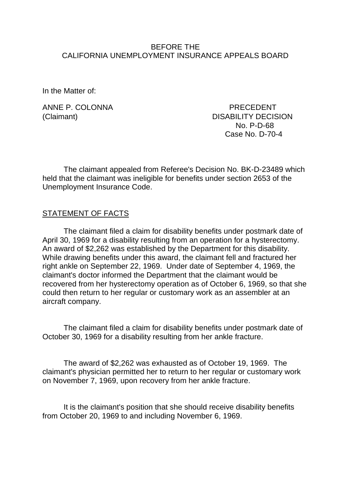#### BEFORE THE CALIFORNIA UNEMPLOYMENT INSURANCE APPEALS BOARD

In the Matter of:

ANNE P. COI ONNA PRECEDENT (Claimant) DISABILITY DECISION No. P-D-68 Case No. D-70-4

The claimant appealed from Referee's Decision No. BK-D-23489 which held that the claimant was ineligible for benefits under section 2653 of the Unemployment Insurance Code.

#### STATEMENT OF FACTS

The claimant filed a claim for disability benefits under postmark date of April 30, 1969 for a disability resulting from an operation for a hysterectomy. An award of \$2,262 was established by the Department for this disability. While drawing benefits under this award, the claimant fell and fractured her right ankle on September 22, 1969. Under date of September 4, 1969, the claimant's doctor informed the Department that the claimant would be recovered from her hysterectomy operation as of October 6, 1969, so that she could then return to her regular or customary work as an assembler at an aircraft company.

The claimant filed a claim for disability benefits under postmark date of October 30, 1969 for a disability resulting from her ankle fracture.

The award of \$2,262 was exhausted as of October 19, 1969. The claimant's physician permitted her to return to her regular or customary work on November 7, 1969, upon recovery from her ankle fracture.

It is the claimant's position that she should receive disability benefits from October 20, 1969 to and including November 6, 1969.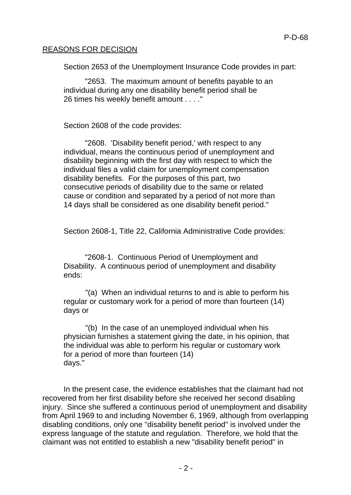### REASONS FOR DECISION

Section 2653 of the Unemployment Insurance Code provides in part:

"2653. The maximum amount of benefits payable to an individual during any one disability benefit period shall be 26 times his weekly benefit amount . . . ."

Section 2608 of the code provides:

"2608. 'Disability benefit period,' with respect to any individual, means the continuous period of unemployment and disability beginning with the first day with respect to which the individual files a valid claim for unemployment compensation disability benefits. For the purposes of this part, two consecutive periods of disability due to the same or related cause or condition and separated by a period of not more than 14 days shall be considered as one disability benefit period."

Section 2608-1, Title 22, California Administrative Code provides:

"2608-1. Continuous Period of Unemployment and Disability. A continuous period of unemployment and disability ends:

"(a) When an individual returns to and is able to perform his regular or customary work for a period of more than fourteen (14) days or

"(b) In the case of an unemployed individual when his physician furnishes a statement giving the date, in his opinion, that the individual was able to perform his regular or customary work for a period of more than fourteen (14) days."

In the present case, the evidence establishes that the claimant had not recovered from her first disability before she received her second disabling injury. Since she suffered a continuous period of unemployment and disability from April 1969 to and including November 6, 1969, although from overlapping disabling conditions, only one "disability benefit period" is involved under the express language of the statute and regulation. Therefore, we hold that the claimant was not entitled to establish a new "disability benefit period" in